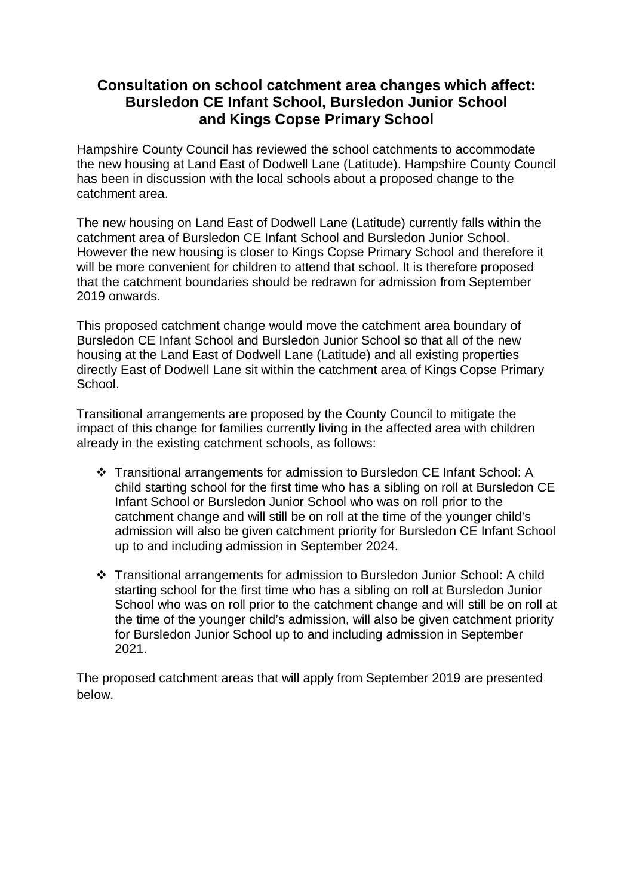## **Consultation on school catchment area changes which affect: Bursledon CE Infant School, Bursledon Junior School and Kings Copse Primary School**

Hampshire County Council has reviewed the school catchments to accommodate the new housing at Land East of Dodwell Lane (Latitude). Hampshire County Council has been in discussion with the local schools about a proposed change to the catchment area.

The new housing on Land East of Dodwell Lane (Latitude) currently falls within the catchment area of Bursledon CE Infant School and Bursledon Junior School. However the new housing is closer to Kings Copse Primary School and therefore it will be more convenient for children to attend that school. It is therefore proposed that the catchment boundaries should be redrawn for admission from September 2019 onwards.

This proposed catchment change would move the catchment area boundary of Bursledon CE Infant School and Bursledon Junior School so that all of the new housing at the Land East of Dodwell Lane (Latitude) and all existing properties directly East of Dodwell Lane sit within the catchment area of Kings Copse Primary School.

Transitional arrangements are proposed by the County Council to mitigate the impact of this change for families currently living in the affected area with children already in the existing catchment schools, as follows:

- Transitional arrangements for admission to Bursledon CE Infant School: A child starting school for the first time who has a sibling on roll at Bursledon CE Infant School or Bursledon Junior School who was on roll prior to the catchment change and will still be on roll at the time of the younger child's admission will also be given catchment priority for Bursledon CE Infant School up to and including admission in September 2024.
- Transitional arrangements for admission to Bursledon Junior School: A child starting school for the first time who has a sibling on roll at Bursledon Junior School who was on roll prior to the catchment change and will still be on roll at the time of the younger child's admission, will also be given catchment priority for Bursledon Junior School up to and including admission in September 2021.

The proposed catchment areas that will apply from September 2019 are presented below.